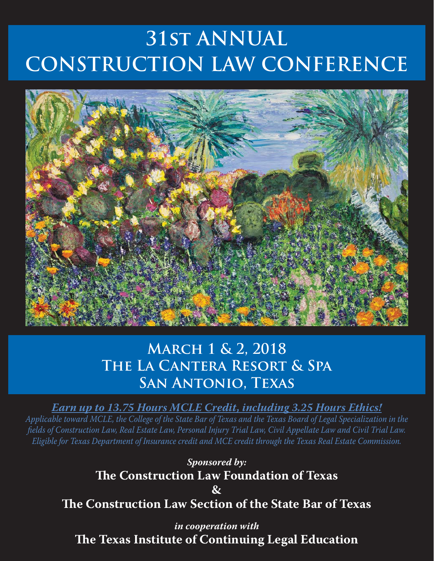# **31st ANNUAL CONSTRUCTION LAW CONFERENCE**



# **March 1 & 2, 2018 The La Cantera Resort & Spa San Antonio, Texas**

*Earn up to 13.75 Hours MCLE Credit, including 3.25 Hours Ethics!*

*Applicable toward MCLE, the College of the State Bar of Texas and the Texas Board of Legal Specialization in the fi elds of Construction Law, Real Estate Law, Personal Injury Trial Law, Civil Appellate Law and Civil Trial Law. Eligible for Texas Department of Insurance credit and MCE credit through the Texas Real Estate Commission.*

*Sponsored by:* **The Construction Law Foundation of Texas & The Construction Law Section of the State Bar of Texas** 

*in cooperation with* **The Texas Institute of Continuing Legal Education**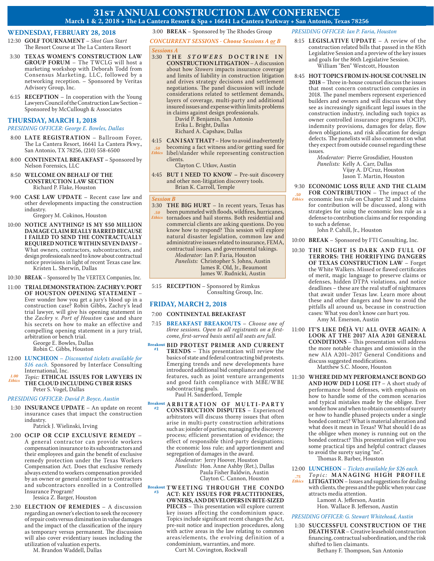### **31st ANNUAL CONSTRUCTION LAW CONFERENCE** March 1 & 2, 2018 . The La Cantera Resort & Spa . 16641 La Cantera Parkway . San Antonio, Texas 78256

#### **WEDNESDAY, FEBRUARY 28, 2018**

- 12:30 **GOLF TOURNAMENT** *Shot Gun Start* The Resort Course at The La Cantera Resort
- 3:30 **TEXAS WOMEN'S CONSTRUCTION LAW GROUP FORUM** – The TWCLG will host a marketing workshop with Deborah Todd from Consensus Marketing, LLC, followed by a networking reception. – Sponsored by Veritas Advisory Group, Inc.
- 6:15 **RECEPTION** In cooperation with the Young Lawyers Council of the Construction Law Section – Sponsored by McCullough & Associates

#### **THURSDAY, MARCH 1, 2018**

#### *PRESIDING OFFICER: George E. Bowles, Dallas*

- 8:00 **LATE REGISTRATION** Ballroom Foyer, The La Cantera Resort, 16641 La Cantera Pkwy., San Antonio, TX 78256, (210) 558-6500
- 8:00 **CONTINENTAL BREAKFAST** Sponsored by Nelson Forensics, LLC
- 8:50 **WELCOME ON BEHALF OF THE CONSTRUCTION LAW SECTION** Richard P. Flake, Houston
- 9:00 **CASE LAW UPDATE** Recent case law and other developments impacting the construction industry.

Gregory M. Cokinos, Houston

- 10:00 **NOTICE ANYTHING? IS MY \$50 MILLION DAMAGE CLAIM REALLY BARRED BECAUSE I FAILED TO SEND THE CONTRACTUALLY REQUIRED NOTICE WITHIN SEVEN DAYS?** – What owners, contractors, subcontractors, and design professionals need to know about contractual notice provisions in light of recent Texas case law. Kristen L. Sherwin, Dallas
- 10:30 **BREAK** Sponsored by The VERTEX Companies, Inc.
- 11:00 **TRIAL DEMONSTRATION: ZACHRY V. PORT OF HOUSTON OPENING STATEMENT** – Ever wonder how you get a jury's blood up in a construction case? Robin Gibbs, Zachry's lead trial lawyer, will give his opening statement in the *Zachry v. Port of Houston* case and share his secrets on how to make an effective and compelling opening statement in a jury trial, arbitration or bench trial.

 George E. Bowles, Dallas Robin C. Gibbs, Houston

- 12:00 **LUNCHEON** *Discounted tickets available for \$16 each.* Sponsored by Interface Consulting
- International, Inc. *1.00*
- *Topic:* **ETHICAL ISSUES FOR LAWYERS IN THE CLOUD INCLUDING CYBER RISKS** Peter S. Vogel, Dallas *Ethics*

#### *PRESIDING OFFICER: David P. Boyce, Austin*

 1:30 **INSURANCE UPDATE** – An update on recent insurance cases that impact the construction industry.

Patrick J. Wielinski, Irving

 2:00 **OCIP OR CCIP EXCLUSIVE REMEDY** – A general contractor can provide workers compensation insurance to its subcontractors and their employees and gain the benefit of exclusive remedy protection under the Texas Workers Compensation Act. Does that exclusive remedy always extend to workers compensation provided by an owner or general contractor to contractors and subcontractors enrolled in a Controlled Insurance Program?

Jessica Z. Barger, Houston

 2:30 **ELECTION OF REMEDIES** – A discussion regarding an owner's election to seek the recovery of repair costs versus diminution in value damages and the impact of the classification of the injury as temporary versus permanent. The discussion will also cover evidentiary issues including the utilization of valuation experts.

M. Brandon Waddell, Dallas

# 3:00 **BREAK** – Sponsored by The Rhodes Group

*CONCURRENT SESSIONS - Choose Sessions A or B*

#### *Sessions A*

3:30 THE *STOWERS* DOCTRINE IN **CONSTRUCTION LITIGATION** – A discussion about how *Stowers* impacts insurance coverage and limits of liability in construction litigation and drives strategy decisions and settlement negotiations. The panel discussion will include considerations related to settlement demands, layers of coverage, multi-party and additional insured issues and expense within limits problems in claims against design professionals.

 David P. Benjamin, San Antonio Erika L. Bright, Dallas Richard A. Capshaw, Dallas

4:15**CAN I SAY THAT?** – How to avoid inadvertently

- becoming a fact witness and/or getting sued for *.50 Ethics*
- libel/slander while representing construction clients.

Clayton C. Utkov, Austin

 4:45**BUT I NEED TO KNOW –** Pre-suit discovery and other non-litigation discovery tools. Brian K. Carroll, Temple

 *Session B*

 3:30 **THE BIG HURT** – In recent years, Texas has been pummeled with floods, wildfires, hurricanes, tornadoes and hail storms. Both residential and commercial clients are asking questions. Do you know how to respond? This session will explore natural disaster legislation, common law and administrative issues related to insurance, FEMA, contractual issues, and governmental takings. *Moderator:* Ian P. Faria, Houston *.50 Ethics*

 *Panelists:* Christopher S. Johns, Austin James R. Old, Jr., Beaumont James W. Rudnicki, Austin

 5:15 **RECEPTION** – Sponsored by Rimkus Consulting Group, Inc.

#### **FRIDAY, MARCH 2, 2018**

- 7:00 **CONTINENTAL BREAKFAST**
- 7:15 **BREAKFAST BREAKOUTS** *Choose one of*  three sessions. Open to all registrants on a first*come, fi rst-served basis until all seats are full.*
- **BID PROTEST PRIMER AND CURRENT Breakout TRENDS** – This presentation will review the basics of state and federal contracting bid protests. Emerging trends and new developments have introduced additional bid compliance and protest features, such as joint venture arrangements and good faith compliance with MBE/WBE subcontracting goals. **#1**

Paul H. Sanderford, Temple

**Breakout A R B I T R A T I O N O F M U L T I - P A R T Y CONSTRUCTION DISPUTES** – Experienced arbitrators will discuss thorny issues that often arise in multi-party construction arbitrations such as: joinder of parties; managing the discovery process; efficient presentation of evidence; the effect of responsible third-party designations; the economic loss rule; and apportionment and segregation of damages in the award. **Breakout #2**

 *Moderator:* Jerry Hoover, Houston *Panelists:* Hon. Anne Ashby (Ret.), Dallas Paula Fisher Baldwin, Austin Clayton C. Cannon, Houston

 *Breakout* **TWEETING THROUGH THE CONDO**<br> **#3**<br> **ACT.** KEY ISSUES FOR DRACTITIONERS **ACT: KEY ISSUES FOR PRACTITIONERS, OWNERS, AND DEVELOPERS IN BITE-SIZED PIECES** – This presentation will explore current key issues affecting the condominium space. Topics include significant recent changes the Act, pre-suit notice and inspection procedures, along with active areas in the law relating to common areas/elements, the evolving definition of a condominium, warranties, and more.

Curt M. Covington, Rockwall

#### *PRESIDING OFFICER: Ian P. Faria, Houston*

- 8:15 **LEGISLATIVE UPDATE** A review of the construction related bills that passed in the 85th Legislative Session and a preview of the key issues and goals for the 86th Legislative Session. William "Ben" Westcott, Houston
- 8:45 **HOT TOPICS FROM IN-HOUSE COUNSEL IN 2018** – Th ree in-house counsel discuss the issues that most concern construction companies in 2018. The panel members represent experienced builders and owners and will discuss what they see as increasingly significant legal issues in the construction industry, including such topics as owner controlled insurance programs (OCIP), indemnity provisions, damages for delay, flow down obligations, and risk allocation for design defects. The panelists will also comment on what they expect from outside counsel regarding these issues.

 *Moderator:* Pierre Grosdidier, Houston *Panelists:* Kelly A. Carr, Dallas Vijay A. D'Cruz, Houston Jason T. Martin, Houston

 9:30 **ECONOMIC LOSS RULE AND THE CLAIM FOR CONTRIBUTION** – The impact of the economic loss rule on Chapter 32 and 33 claims for contribution will be discussed, along with strategies for using the economic loss rule as a defense to contribution claims and for responding to such a defense. *.50 Ethics*

John P. Cahill, Jr., Houston

10:00 **BREAK** – Sponsored by FTI Consulting, Inc.

- 10:30 THE NIGHT IS DARK AND FULL OF **TERRORS: THE HORRIFYING DANGERS OF TEXAS CONSTRUCTION LAW** – Forget the White Walkers. Missed or flawed certificates of merit, magic language to preserve claims or defenses, hidden DTPA violations, and notice deadlines – these are the real stuff of nightmares that await under Texas law. Learn more about these and other dangers and how to avoid the pitfalls all around us, because in construction cases: What you don't know *can* hurt you. Amy M. Emerson, Austin
- 11:00 **IT'S LIKE DÉJÀ VU ALL OVER AGAIN: A LOOK AT THE 2017 AIA A201 GENERAL CONDITIONS** – This presentation will address the more notable changes and omissions in the new AIA A201–2017 General Conditions and discuss suggested modifications.

Matthew S.C. Moore, Houston

11:30 **WHERE DID MY PERFORMANCE BOND GO AND HOW DID I LOSE IT?** – A short study of performance bond defenses, with emphasis on how to handle some of the common scenarios and typical mistakes made by the obligee. Ever wonder how and when to obtain consents of surety or how to handle phased projects under a single bonded contract? What is material alteration and what does it mean in Texas? What should I do as the obligee when money is running out on the bonded contract? This presentation will give you some practical tips and helpful contract clauses to avoid the surety saying "no".

Thomas R. Barber, Houston

#### 12:00 **LUNCHEON** – *Tickets available for \$26 each.*

 $Topic:$  **MANAGING HIGH PROFILE LITIGATION** – Issues and suggestions for dealing with clients, the press and the public when your case attracts media attention. Lamont A. Jefferson, Austin *.75 Ethics*

Hon. Wallace B. Jefferson, Austin

#### *PRESIDING OFFICER: G. Stewart Whitehead, Austin*

 1:30 **SUCCESSFUL CONSTRUCTION OF THE DEATH STAR** – Creative leasehold construction financing, contractual subordination, and the risk shifted to lien claimants.

Bethany F. Thompson, San Antonio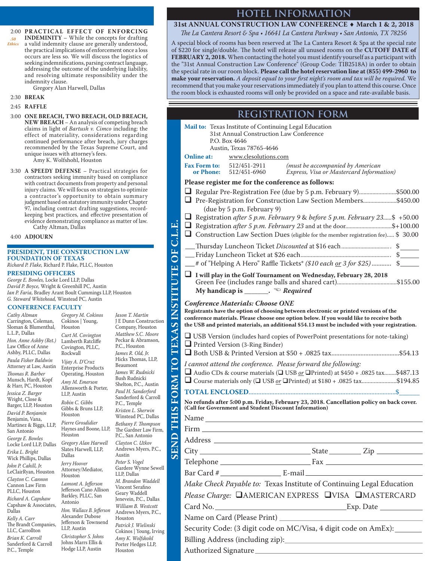*.50 Ethics* 2:00 PRACTICAL EFFECT OF ENFORCING **INDEMINITY** – While the concepts for drafting a valid indemnity clause are generally understood, the practical implications of enforcement once a loss occurs are less so. We will discuss the logistics of seeking indemnifications, parsing contract language, addressing the outcome of the underlying liability, and resolving ultimate responsibility under the indemnity clause.

Gregory Alan Harwell, Dallas

#### 2:30 **BREAK**

#### 2:45 **RAFFLE**

 3:00 **ONE BREACH, TWO BREACH, OLD BREACH, NEW BREACH** – An analysis of competing breach claims in light of *Bartush v. Cimco* including: the effect of materiality, considerations regarding continued performance after breach, jury charges recommended by the Texas Supreme Court, and unique issues with attorney's fees.

Amy K. Wolfshohl, Houston

 3:30 **A SPEEDY DEFENSE** – Practical strategies for contractors seeking immunity based on compliance with contract documents from property and personal injury claims. We will focus on strategies to optimize a contractor's opportunity to obtain summary judgment based on statutory immunity under Chapter 97, including contract drafting suggestions, recordkeeping best practices, and effective presentation of evidence demonstrating compliance as matter of law. Cathy Altman, Dallas

#### 4:00 **ADJOURN**

#### **PRESIDENT, THE CONSTRUCTION LAW FOUNDATION OF TEXAS**

*Richard P. Flake,* Richard P. Flake, PLLC, Houston

#### **PRESIDING OFFICERS**

*George E. Bowles,* Locke Lord LLP, Dallas *David P. Boyce,* Wright & Greenhill PC, Austin *Ian P. Faria,* Bradley Arant Boult Cummings LLP, Houston *G. Steward Whitehead,* Winstead PC, Austin

Houston

Rockwall

LLP, Austin

Houston

Houston

Dallas *Jerry Hoover*

Houston

Antonio

*Gregory M. Cokinos* 

#### **CONFERENCE FACULTY**

*Cathy Altman* Carrington, Coleman, Sloman & Blumenthal, L.L.P., Dallas *Hon. Anne Ashby (Ret.)* 

Law Office of Anne Ashby, PLLC, Dallas *Paula Fisher Baldwin* Attorney at Law, Austin *Th omas R. Barber*  Munsch, Hardt, Kopf & Harr, PC, Houston *Jessica Z. Barger* Wright, Close & Barger, LLP, Houston *David P. Benjamin* Benjamin, Vana, Martinez & Biggs, LLP, San Antonio *George E. Bowles*  Locke Lord LLP, Dallas *Erika L. Bright* Wick Phillips, Dallas *John P. Cahill, Jr.*  LeClairRyan, Houston *Clayton C. Cannon* Cannon Law Firm PLLC, Houston *Richard A. Capshaw*  Capshaw & Associates, Dallas *Kelly A. Carr* 

The Brandt Companies, LLC, Carrollton *Brian K. Carroll*  Sanderford & Carroll P.C., Temple LLP, Austin

Cokinos | Young, *Curt M. Covington*  Lamberth Ratcliffe Covington, PLLC, *Vijay A. D'Cruz*  Enterprise Products Operating, Houston *Amy M. Emerson*  Allensworth & Porter, *Robin C. Gibbs* Gibbs & Bruns LLP, *Pierre Grosdidier*  Haynes and Boone, LLP, *Gregory Alan Harwell*  Slates Harwell, LLP, Attorney/Mediator, Lamont A. Jefferson Jefferson Cano Allison Barkley, PLLC, San Hon. Wallace B. Jefferson Alexander Dubose Jefferson & Townsend *Christopher S. Johns*  Johns Marrs Ellis & Hodge LLP, Austin P.C., Houston *James R. Old, Jr.*  Beaumont Bush Rudnicki P.C., Temple Austin *Peter S. Vogel* LLP, Dallas Geary Waddell Houston Houston

SEND THIS FORM TO TEXAS INSTITUTE OF C.L.E. *Jason T. Martin*  J E Dunn Construction Company, Houston *Matthew S.C. Moore* Peckar & Abramson, Hicks Thomas, LLP, *James W. Rudnicki*  Shelton, P.C., Austin *Paul H. Sanderford*  Sanderford & Carroll *Kristen L. Sherwin*  Winstead PC, Dallas *Bethany F. Th ompson* The Gardner Law Firm, P.C., San Antonio *Clayton C. Utkov* Andrews Myers, P.C., Gardere Wynne Sewell *M. Brandon Waddell* Vincent Serafino Jenevein, P.C., Dallas *William B. Westcott* Andrews Myers, P.C., *Patrick J. Wielinski* Cokinos | Young, Irving *Amy K. Wolfshohl* Porter Hedges LLP,

**SEND THIS FORM TO TEXAS INSTITUTE OF C.L.E.**

## **HOTEL INFORMATION**

#### **31st ANNUAL CONSTRUCTION LAW CONFERENCE** ♦ **March 1 & 2, 2018** *Th e La Cantera Resort & Spa • 16641 La Cantera Parkway • San Antonio, TX 78256*

A special block of rooms has been reserved at The La Cantera Resort & Spa at the special rate of \$220 for single/double. The hotel will release all unused rooms on the **CUTOFF DATE of FEBRUARY 2, 2018.** When contacting the hotel you must identify yourself as a participant with the "31st Annual Construction Law Conference" (Group Code: TIB2518A) in order to obtain the special rate in our room block. **Please call the hotel reservation line at (855) 499-2960 to make your reservation.** A deposit equal to your first night's room and tax will be required. We recommend that you make your reservations immediately if you plan to attend this course. Once the room block is exhausted rooms will only be provided on a space and rate-available basis.

# **REGISTRATION FORM**

| Mail to: Texas Institute of Continuing Legal Education<br>31st Annual Construction Law Conference                                                                                                                                                                                 |
|-----------------------------------------------------------------------------------------------------------------------------------------------------------------------------------------------------------------------------------------------------------------------------------|
| P.O. Box 4646<br>Austin, Texas 78765-4646                                                                                                                                                                                                                                         |
| <b>Online at:</b><br>www.clesolutions.com                                                                                                                                                                                                                                         |
| <b>Fax Form to:</b><br>512/451-2911<br>(must be accompanied by American<br>or Phone:<br>Express, Visa or Mastercard Information)<br>512/451-6960                                                                                                                                  |
| Please register me for the conference as follows:                                                                                                                                                                                                                                 |
| Regular Pre-Registration Fee (due by 5 p.m. February 9)\$500.00                                                                                                                                                                                                                   |
| □ Pre-Registration for Construction Law Section Members\$450.00<br>(due by 5 p.m. February 9)                                                                                                                                                                                     |
| Registration after 5 p.m. February 9 & before 5 p.m. February 23\$ +50.00                                                                                                                                                                                                         |
| $\Box$ Registration <i>after 5 p.m. February 23</i> and at the door\$+100.00<br>$\Box$ Construction Law Section Dues (eligible for the member registration fee) \$ 30.00                                                                                                          |
|                                                                                                                                                                                                                                                                                   |
|                                                                                                                                                                                                                                                                                   |
| __# of "Helping A Hero" Raffle Tickets* (\$10 each or 3 for \$25)  \$____                                                                                                                                                                                                         |
| $\Box$ I will play in the Golf Tournament on Wednesday, February 28, 2018                                                                                                                                                                                                         |
| My handicap is _______. $\mathbb{R}$ Required                                                                                                                                                                                                                                     |
| Conference Materials: Choose ONE                                                                                                                                                                                                                                                  |
| Registrants have the option of choosing between electronic or printed versions of the<br>conference materials. Please choose one option below. If you would like to receive both<br>the USB and printed materials, an additional \$54.13 must be included with your registration. |
| $\Box$ USB Version (includes hard copies of PowerPoint presentations for note-taking)                                                                                                                                                                                             |
| $\Box$ Printed Version (3-Ring Binder)                                                                                                                                                                                                                                            |
|                                                                                                                                                                                                                                                                                   |
| I cannot attend the conference. Please forward the following:                                                                                                                                                                                                                     |
| Audio CDs & course materials ( $\Box$ USB <u>or</u> $\Box$ Printed) at \$450 + .0825 tax\$487.13<br>$\Box$ Course materials only ( $\Box$ USB <u>or</u> $\Box$ Printed) at \$180 + .0825 tax\$194.85                                                                              |
|                                                                                                                                                                                                                                                                                   |
| No refunds after 5:00 p.m. Friday, February 23, 2018. Cancellation policy on back cover.<br>(Call for Government and Student Discount Information)                                                                                                                                |
|                                                                                                                                                                                                                                                                                   |
|                                                                                                                                                                                                                                                                                   |
| Address _<br><u> 1989 - Johann Barn, amerikansk politiker (d. 1989)</u>                                                                                                                                                                                                           |
|                                                                                                                                                                                                                                                                                   |
|                                                                                                                                                                                                                                                                                   |
|                                                                                                                                                                                                                                                                                   |
| Make Check Payable to: Texas Institute of Continuing Legal Education                                                                                                                                                                                                              |
| <i>Please Charge:</i> □AMERICAN EXPRESS □VISA □MASTERCARD                                                                                                                                                                                                                         |
|                                                                                                                                                                                                                                                                                   |
|                                                                                                                                                                                                                                                                                   |
| Security Code: (3 digit code on MC/Visa, 4 digit code on AmEx): ______                                                                                                                                                                                                            |
|                                                                                                                                                                                                                                                                                   |
|                                                                                                                                                                                                                                                                                   |
|                                                                                                                                                                                                                                                                                   |